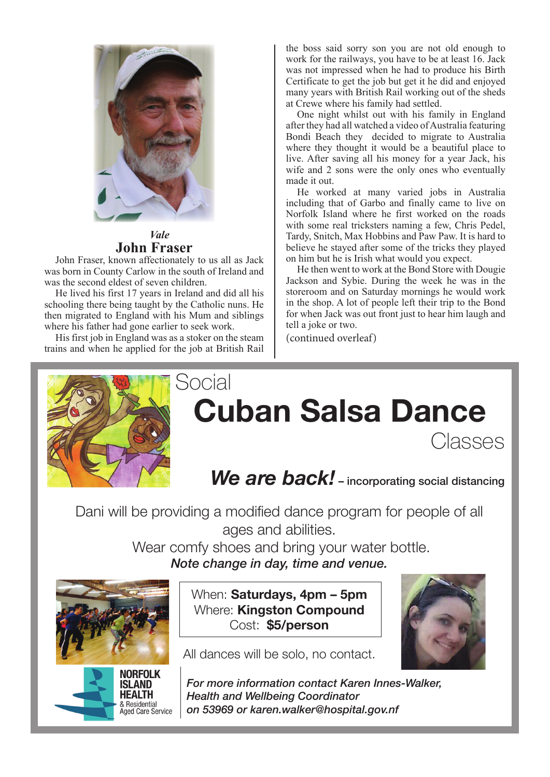

#### *Vale* **John Fraser**

John Fraser, known affectionately to us all as Jack was born in County Carlow in the south of Ireland and was the second eldest of seven children.

He lived his first 17 years in Ireland and did all his schooling there being taught by the Catholic nuns. He then migrated to England with his Mum and siblings where his father had gone earlier to seek work.

His first job in England was as a stoker on the steam trains and when he applied for the job at British Rail the boss said sorry son you are not old enough to work for the railways, you have to be at least 16. Jack was not impressed when he had to produce his Birth Certificate to get the job but get it he did and enjoyed many years with British Rail working out of the sheds at Crewe where his family had settled.

One night whilst out with his family in England after they had all watched a video of Australia featuring Bondi Beach they decided to migrate to Australia where they thought it would be a beautiful place to live. After saving all his money for a year Jack, his wife and 2 sons were the only ones who eventually made it out.

He worked at many varied jobs in Australia including that of Garbo and finally came to live on Norfolk Island where he first worked on the roads with some real tricksters naming a few, Chris Pedel, Tardy, Snitch, Max Hobbins and Paw Paw. It is hard to believe he stayed after some of the tricks they played on him but he is Irish what would you expect.

He then went to work at the Bond Store with Dougie Jackson and Sybie. During the week he was in the storeroom and on Saturday mornings he would work in the shop. A lot of people left their trip to the Bond for when Jack was out front just to hear him laugh and tell a joke or two.

(continued overleaf)



## Social **Cuban Salsa Dance**

**Classes** 

## We are back! - incorporating social distancing

Dani will be providing a modified dance program for people of all ages and abilities.

> Wear comfy shoes and bring your water bottle. *Note change in day, time and venue.*





When: **Saturdays, 4pm – 5pm** Where: **Kingston Compound**  Cost: **\$5/person**

All dances will be solo, no contact.



*For more information contact Karen Innes-Walker, Health and Wellbeing Coordinator on 53969 or karen.walker@hospital.gov.nf*